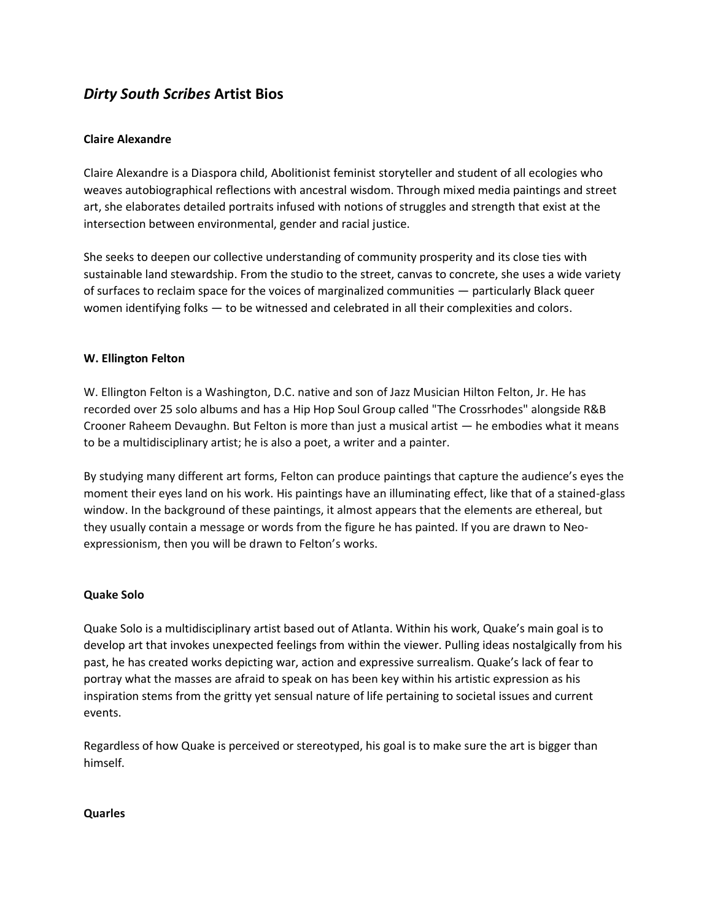# *Dirty South Scribes* **Artist Bios**

## **Claire Alexandre**

Claire Alexandre is a Diaspora child, Abolitionist feminist storyteller and student of all ecologies who weaves autobiographical reflections with ancestral wisdom. Through mixed media paintings and street art, she elaborates detailed portraits infused with notions of struggles and strength that exist at the intersection between environmental, gender and racial justice.

She seeks to deepen our collective understanding of community prosperity and its close ties with sustainable land stewardship. From the studio to the street, canvas to concrete, she uses a wide variety of surfaces to reclaim space for the voices of marginalized communities — particularly Black queer women identifying folks — to be witnessed and celebrated in all their complexities and colors.

### **W. Ellington Felton**

W. Ellington Felton is a Washington, D.C. native and son of Jazz Musician Hilton Felton, Jr. He has recorded over 25 solo albums and has a Hip Hop Soul Group called "The Crossrhodes" alongside R&B Crooner Raheem Devaughn. But Felton is more than just a musical artist — he embodies what it means to be a multidisciplinary artist; he is also a poet, a writer and a painter.

By studying many different art forms, Felton can produce paintings that capture the audience's eyes the moment their eyes land on his work. His paintings have an illuminating effect, like that of a stained-glass window. In the background of these paintings, it almost appears that the elements are ethereal, but they usually contain a message or words from the figure he has painted. If you are drawn to Neoexpressionism, then you will be drawn to Felton's works.

### **Quake Solo**

Quake Solo is a multidisciplinary artist based out of Atlanta. Within his work, Quake's main goal is to develop art that invokes unexpected feelings from within the viewer. Pulling ideas nostalgically from his past, he has created works depicting war, action and expressive surrealism. Quake's lack of fear to portray what the masses are afraid to speak on has been key within his artistic expression as his inspiration stems from the gritty yet sensual nature of life pertaining to societal issues and current events.

Regardless of how Quake is perceived or stereotyped, his goal is to make sure the art is bigger than himself.

### **Quarles**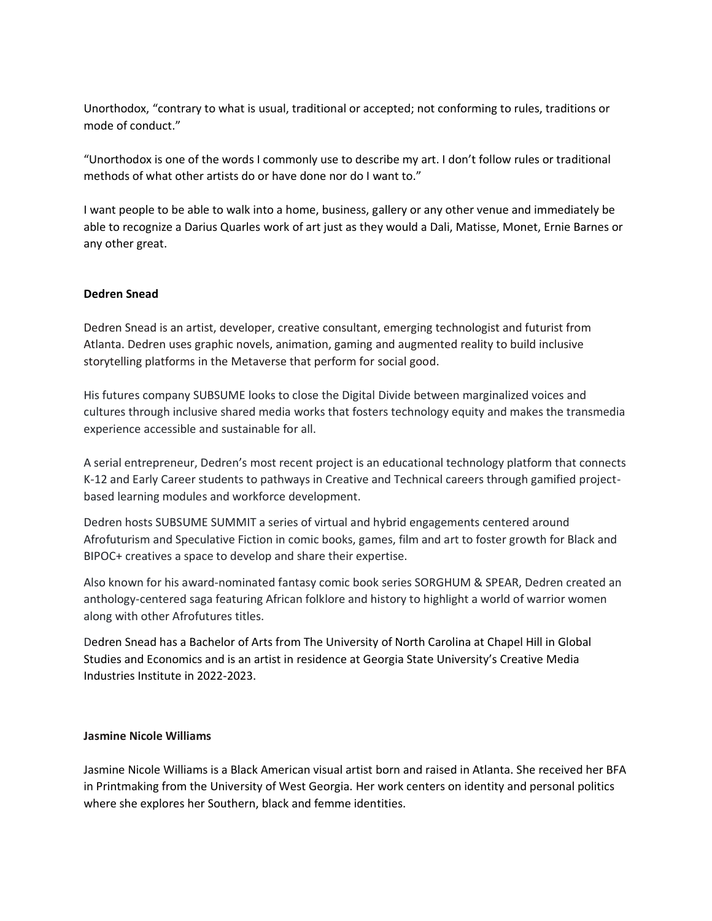Unorthodox, "contrary to what is usual, traditional or accepted; not conforming to rules, traditions or mode of conduct."

"Unorthodox is one of the words I commonly use to describe my art. I don't follow rules or traditional methods of what other artists do or have done nor do I want to."

I want people to be able to walk into a home, business, gallery or any other venue and immediately be able to recognize a Darius Quarles work of art just as they would a Dali, Matisse, Monet, Ernie Barnes or any other great.

### **Dedren Snead**

Dedren Snead is an artist, developer, creative consultant, emerging technologist and futurist from Atlanta. Dedren uses graphic novels, animation, gaming and augmented reality to build inclusive storytelling platforms in the Metaverse that perform for social good.

His futures company SUBSUME looks to close the Digital Divide between marginalized voices and cultures through inclusive shared media works that fosters technology equity and makes the transmedia experience accessible and sustainable for all.

A serial entrepreneur, Dedren's most recent project is an educational technology platform that connects K-12 and Early Career students to pathways in Creative and Technical careers through gamified projectbased learning modules and workforce development.

Dedren hosts SUBSUME SUMMIT a series of virtual and hybrid engagements centered around Afrofuturism and Speculative Fiction in comic books, games, film and art to foster growth for Black and BIPOC+ creatives a space to develop and share their expertise.

Also known for his award-nominated fantasy comic book series SORGHUM & SPEAR, Dedren created an anthology-centered saga featuring African folklore and history to highlight a world of warrior women along with other Afrofutures titles.

Dedren Snead has a Bachelor of Arts from The University of North Carolina at Chapel Hill in Global Studies and Economics and is an artist in residence at Georgia State University's Creative Media Industries Institute in 2022-2023.

#### **Jasmine Nicole Williams**

Jasmine Nicole Williams is a Black American visual artist born and raised in Atlanta. She received her BFA in Printmaking from the University of West Georgia. Her work centers on identity and personal politics where she explores her Southern, black and femme identities.